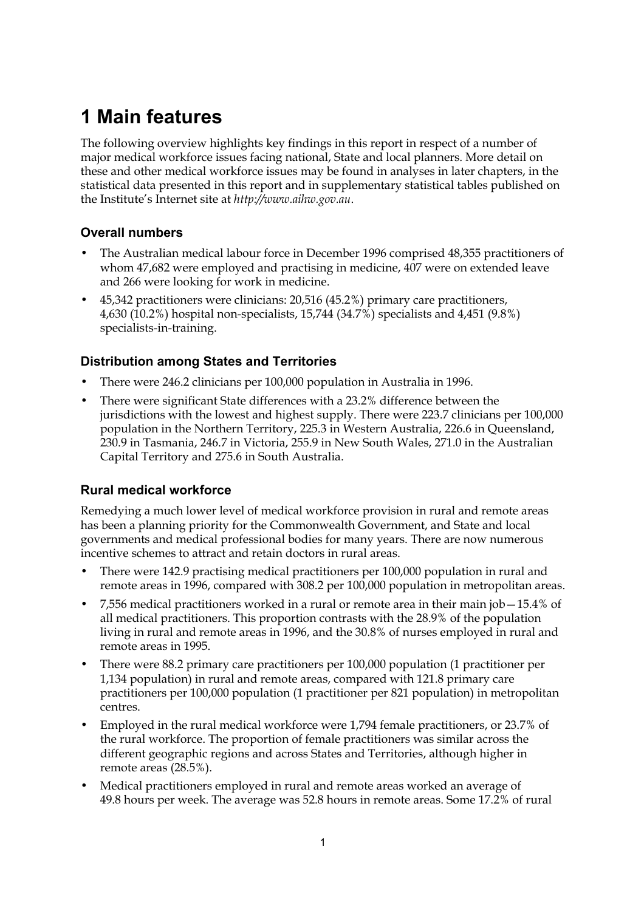# **1 Main features**

The following overview highlights key findings in this report in respect of a number of major medical workforce issues facing national, State and local planners. More detail on these and other medical workforce issues may be found in analyses in later chapters, in the statistical data presented in this report and in supplementary statistical tables published on the Institute's Internet site at *http://www.aihw.gov.au*.

# **Overall numbers**

- The Australian medical labour force in December 1996 comprised 48,355 practitioners of whom 47,682 were employed and practising in medicine, 407 were on extended leave and 266 were looking for work in medicine.
- 45,342 practitioners were clinicians: 20,516 (45.2%) primary care practitioners, 4,630 (10.2%) hospital non-specialists, 15,744 (34.7%) specialists and 4,451 (9.8%) specialists-in-training.

# **Distribution among States and Territories**

- There were 246.2 clinicians per 100,000 population in Australia in 1996.
- There were significant State differences with a 23.2% difference between the jurisdictions with the lowest and highest supply. There were 223.7 clinicians per 100,000 population in the Northern Territory, 225.3 in Western Australia, 226.6 in Queensland, 230.9 in Tasmania, 246.7 in Victoria, 255.9 in New South Wales, 271.0 in the Australian Capital Territory and 275.6 in South Australia.

### **Rural medical workforce**

Remedying a much lower level of medical workforce provision in rural and remote areas has been a planning priority for the Commonwealth Government, and State and local governments and medical professional bodies for many years. There are now numerous incentive schemes to attract and retain doctors in rural areas.

- There were 142.9 practising medical practitioners per 100,000 population in rural and remote areas in 1996, compared with 308.2 per 100,000 population in metropolitan areas.
- 7,556 medical practitioners worked in a rural or remote area in their main job—15.4% of all medical practitioners. This proportion contrasts with the 28.9% of the population living in rural and remote areas in 1996, and the 30.8% of nurses employed in rural and remote areas in 1995.
- There were 88.2 primary care practitioners per 100,000 population (1 practitioner per 1,134 population) in rural and remote areas, compared with 121.8 primary care practitioners per 100,000 population (1 practitioner per 821 population) in metropolitan centres.
- Employed in the rural medical workforce were 1,794 female practitioners, or 23.7% of the rural workforce. The proportion of female practitioners was similar across the different geographic regions and across States and Territories, although higher in remote areas (28.5%).
- Medical practitioners employed in rural and remote areas worked an average of 49.8 hours per week. The average was 52.8 hours in remote areas. Some 17.2% of rural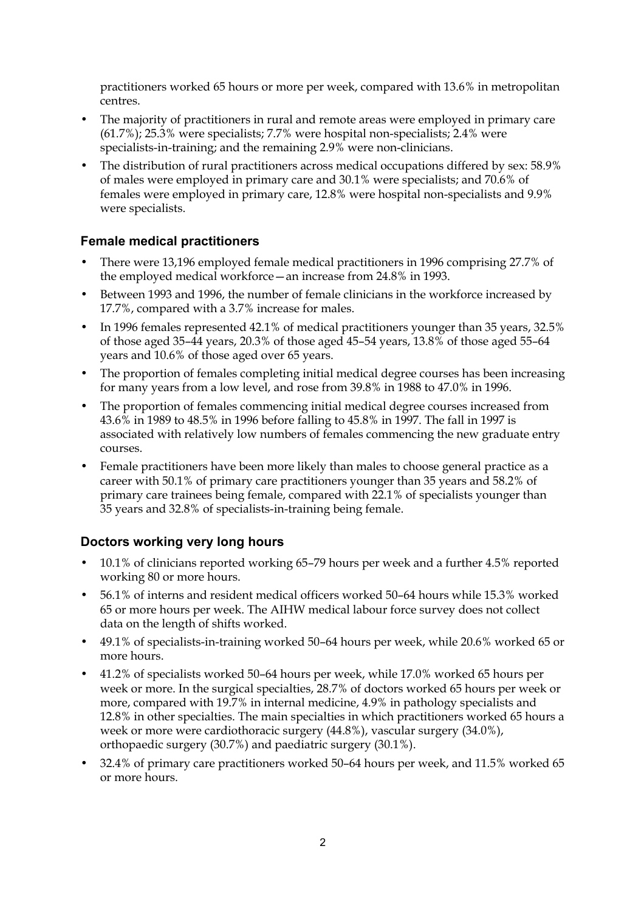practitioners worked 65 hours or more per week, compared with 13.6% in metropolitan centres.

- The majority of practitioners in rural and remote areas were employed in primary care (61.7%); 25.3% were specialists; 7.7% were hospital non-specialists; 2.4% were specialists-in-training; and the remaining 2.9% were non-clinicians.
- The distribution of rural practitioners across medical occupations differed by sex: 58.9% of males were employed in primary care and 30.1% were specialists; and 70.6% of females were employed in primary care, 12.8% were hospital non-specialists and 9.9% were specialists.

# **Female medical practitioners**

- There were 13,196 employed female medical practitioners in 1996 comprising 27.7% of the employed medical workforce—an increase from 24.8% in 1993.
- Between 1993 and 1996, the number of female clinicians in the workforce increased by 17.7%, compared with a 3.7% increase for males.
- In 1996 females represented 42.1% of medical practitioners younger than 35 years, 32.5% of those aged 35–44 years, 20.3% of those aged 45–54 years, 13.8% of those aged 55–64 years and 10.6% of those aged over 65 years.
- The proportion of females completing initial medical degree courses has been increasing for many years from a low level, and rose from 39.8% in 1988 to 47.0% in 1996.
- The proportion of females commencing initial medical degree courses increased from 43.6% in 1989 to 48.5% in 1996 before falling to 45.8% in 1997. The fall in 1997 is associated with relatively low numbers of females commencing the new graduate entry courses.
- Female practitioners have been more likely than males to choose general practice as a career with 50.1% of primary care practitioners younger than 35 years and 58.2% of primary care trainees being female, compared with 22.1% of specialists younger than 35 years and 32.8% of specialists-in-training being female.

### **Doctors working very long hours**

- 10.1% of clinicians reported working 65-79 hours per week and a further 4.5% reported working 80 or more hours.
- 56.1% of interns and resident medical officers worked 50–64 hours while 15.3% worked 65 or more hours per week. The AIHW medical labour force survey does not collect data on the length of shifts worked.
- 49.1% of specialists-in-training worked 50–64 hours per week, while 20.6% worked 65 or more hours.
- 41.2% of specialists worked 50–64 hours per week, while 17.0% worked 65 hours per week or more. In the surgical specialties, 28.7% of doctors worked 65 hours per week or more, compared with 19.7% in internal medicine, 4.9% in pathology specialists and 12.8% in other specialties. The main specialties in which practitioners worked 65 hours a week or more were cardiothoracic surgery (44.8%), vascular surgery (34.0%), orthopaedic surgery (30.7%) and paediatric surgery (30.1%).
- 32.4% of primary care practitioners worked 50–64 hours per week, and 11.5% worked 65 or more hours.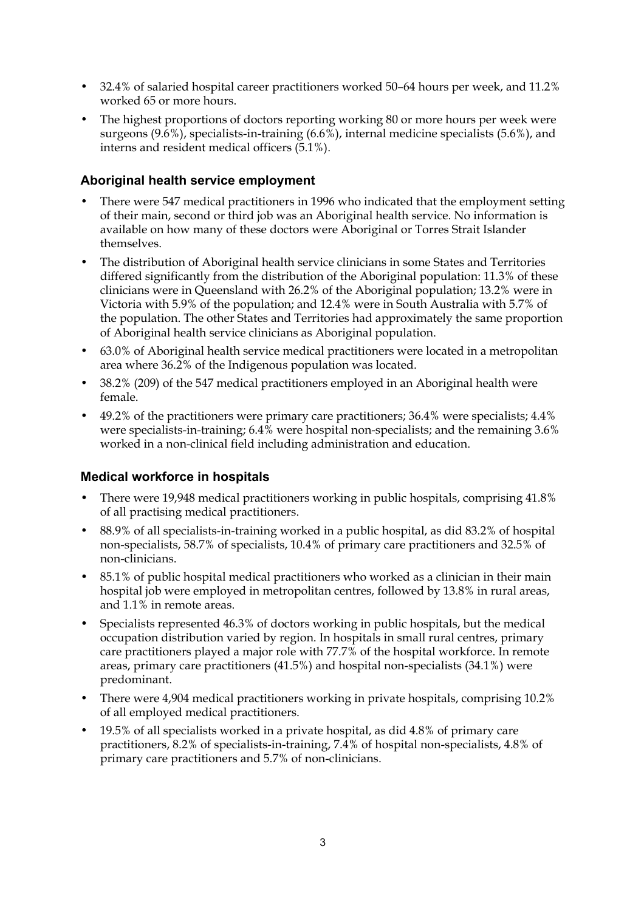- 32.4% of salaried hospital career practitioners worked 50–64 hours per week, and 11.2% worked 65 or more hours.
- The highest proportions of doctors reporting working 80 or more hours per week were surgeons (9.6%), specialists-in-training (6.6%), internal medicine specialists (5.6%), and interns and resident medical officers (5.1%).

# **Aboriginal health service employment**

- There were 547 medical practitioners in 1996 who indicated that the employment setting of their main, second or third job was an Aboriginal health service. No information is available on how many of these doctors were Aboriginal or Torres Strait Islander themselves.
- The distribution of Aboriginal health service clinicians in some States and Territories differed significantly from the distribution of the Aboriginal population: 11.3% of these clinicians were in Queensland with 26.2% of the Aboriginal population; 13.2% were in Victoria with 5.9% of the population; and 12.4% were in South Australia with 5.7% of the population. The other States and Territories had approximately the same proportion of Aboriginal health service clinicians as Aboriginal population.
- 63.0% of Aboriginal health service medical practitioners were located in a metropolitan area where 36.2% of the Indigenous population was located.
- 38.2% (209) of the 547 medical practitioners employed in an Aboriginal health were female.
- 49.2% of the practitioners were primary care practitioners; 36.4% were specialists; 4.4% were specialists-in-training; 6.4% were hospital non-specialists; and the remaining 3.6% worked in a non-clinical field including administration and education.

### **Medical workforce in hospitals**

- There were 19,948 medical practitioners working in public hospitals, comprising 41.8% of all practising medical practitioners.
- 88.9% of all specialists-in-training worked in a public hospital, as did 83.2% of hospital non-specialists, 58.7% of specialists, 10.4% of primary care practitioners and 32.5% of non-clinicians.
- 85.1% of public hospital medical practitioners who worked as a clinician in their main hospital job were employed in metropolitan centres, followed by 13.8% in rural areas, and 1.1% in remote areas.
- Specialists represented 46.3% of doctors working in public hospitals, but the medical occupation distribution varied by region. In hospitals in small rural centres, primary care practitioners played a major role with 77.7% of the hospital workforce. In remote areas, primary care practitioners (41.5%) and hospital non-specialists (34.1%) were predominant.
- There were 4,904 medical practitioners working in private hospitals, comprising 10.2% of all employed medical practitioners.
- 19.5% of all specialists worked in a private hospital, as did 4.8% of primary care practitioners, 8.2% of specialists-in-training, 7.4% of hospital non-specialists, 4.8% of primary care practitioners and 5.7% of non-clinicians.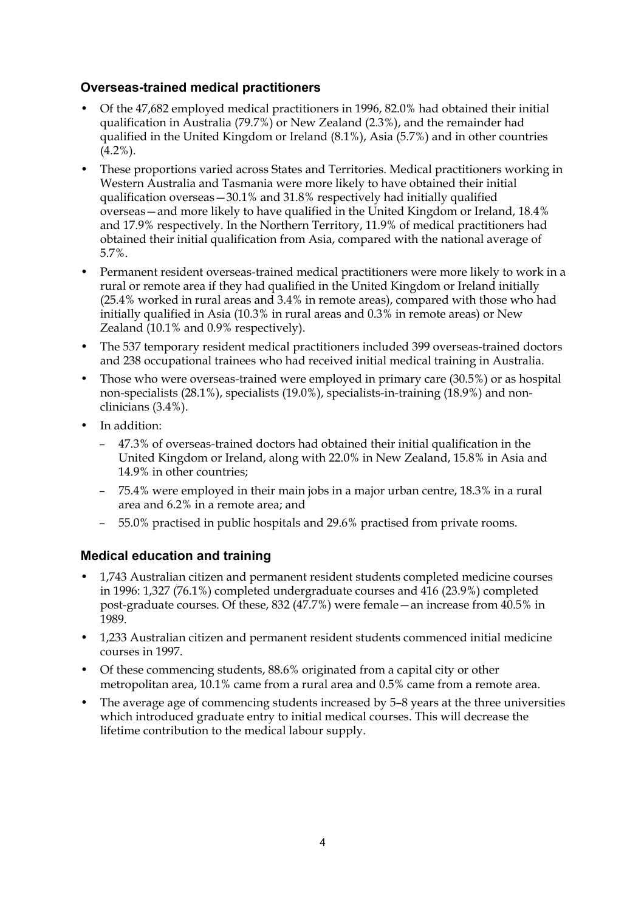### **Overseas-trained medical practitioners**

- Of the 47,682 employed medical practitioners in 1996, 82.0% had obtained their initial qualification in Australia (79.7%) or New Zealand (2.3%), and the remainder had qualified in the United Kingdom or Ireland (8.1%), Asia (5.7%) and in other countries  $(4.2\%)$ .
- These proportions varied across States and Territories. Medical practitioners working in Western Australia and Tasmania were more likely to have obtained their initial qualification overseas—30.1% and 31.8% respectively had initially qualified overseas—and more likely to have qualified in the United Kingdom or Ireland, 18.4% and 17.9% respectively. In the Northern Territory, 11.9% of medical practitioners had obtained their initial qualification from Asia, compared with the national average of 5.7%.
- Permanent resident overseas-trained medical practitioners were more likely to work in a rural or remote area if they had qualified in the United Kingdom or Ireland initially (25.4% worked in rural areas and 3.4% in remote areas), compared with those who had initially qualified in Asia (10.3% in rural areas and 0.3% in remote areas) or New Zealand (10.1% and 0.9% respectively).
- The 537 temporary resident medical practitioners included 399 overseas-trained doctors and 238 occupational trainees who had received initial medical training in Australia.
- Those who were overseas-trained were employed in primary care (30.5%) or as hospital non-specialists (28.1%), specialists (19.0%), specialists-in-training (18.9%) and nonclinicians (3.4%).
- In addition:
	- 47.3% of overseas-trained doctors had obtained their initial qualification in the United Kingdom or Ireland, along with 22.0% in New Zealand, 15.8% in Asia and 14.9% in other countries;
	- 75.4% were employed in their main jobs in a major urban centre, 18.3% in a rural area and 6.2% in a remote area; and
	- 55.0% practised in public hospitals and 29.6% practised from private rooms.

# **Medical education and training**

- 1,743 Australian citizen and permanent resident students completed medicine courses in 1996: 1,327 (76.1%) completed undergraduate courses and 416 (23.9%) completed post-graduate courses. Of these, 832 (47.7%) were female—an increase from 40.5% in 1989.
- 1,233 Australian citizen and permanent resident students commenced initial medicine courses in 1997.
- Of these commencing students, 88.6% originated from a capital city or other metropolitan area, 10.1% came from a rural area and 0.5% came from a remote area.
- The average age of commencing students increased by 5–8 years at the three universities which introduced graduate entry to initial medical courses. This will decrease the lifetime contribution to the medical labour supply.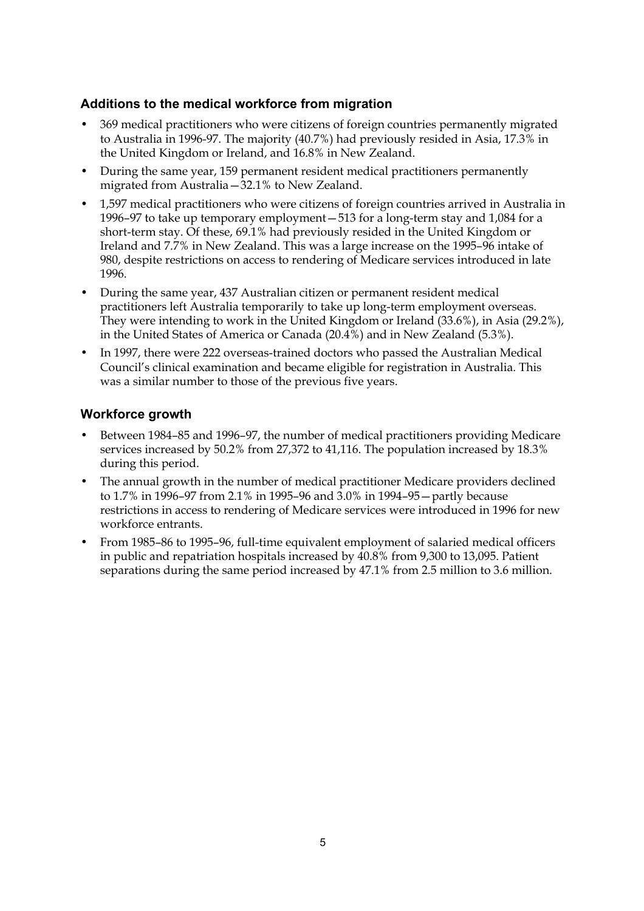# **Additions to the medical workforce from migration**

- 369 medical practitioners who were citizens of foreign countries permanently migrated to Australia in 1996-97. The majority (40.7%) had previously resided in Asia, 17.3% in the United Kingdom or Ireland, and 16.8% in New Zealand.
- During the same year, 159 permanent resident medical practitioners permanently migrated from Australia—32.1% to New Zealand.
- 1,597 medical practitioners who were citizens of foreign countries arrived in Australia in 1996–97 to take up temporary employment—513 for a long-term stay and 1,084 for a short-term stay. Of these, 69.1% had previously resided in the United Kingdom or Ireland and 7.7% in New Zealand. This was a large increase on the 1995–96 intake of 980, despite restrictions on access to rendering of Medicare services introduced in late 1996.
- During the same year, 437 Australian citizen or permanent resident medical practitioners left Australia temporarily to take up long-term employment overseas. They were intending to work in the United Kingdom or Ireland (33.6%), in Asia (29.2%), in the United States of America or Canada (20.4%) and in New Zealand (5.3%).
- In 1997, there were 222 overseas-trained doctors who passed the Australian Medical Council's clinical examination and became eligible for registration in Australia. This was a similar number to those of the previous five years.

#### **Workforce growth**

- Between 1984–85 and 1996–97, the number of medical practitioners providing Medicare services increased by 50.2% from 27,372 to 41,116. The population increased by 18.3% during this period.
- The annual growth in the number of medical practitioner Medicare providers declined to 1.7% in 1996–97 from 2.1% in 1995–96 and 3.0% in 1994–95—partly because restrictions in access to rendering of Medicare services were introduced in 1996 for new workforce entrants.
- From 1985–86 to 1995–96, full-time equivalent employment of salaried medical officers in public and repatriation hospitals increased by 40.8% from 9,300 to 13,095. Patient separations during the same period increased by 47.1% from 2.5 million to 3.6 million.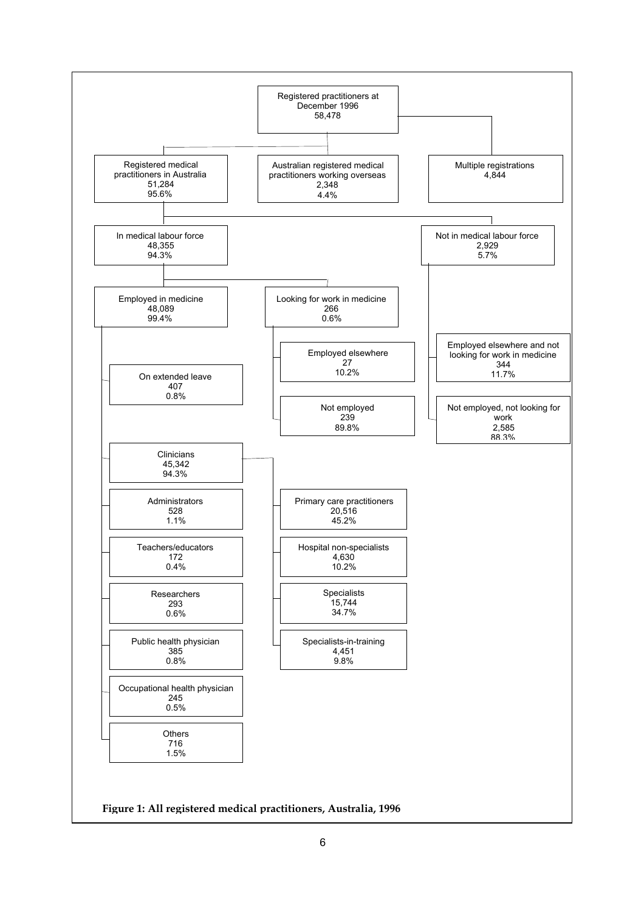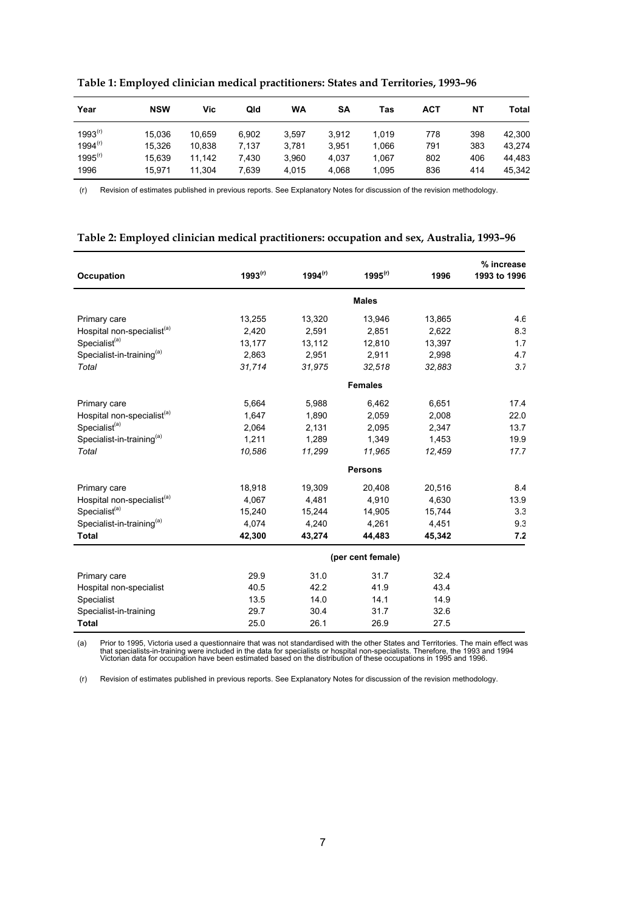| Year         | <b>NSW</b> | Vic    | Qld   | WA    | SΑ    | Tas   | <b>ACT</b> | NΤ  | Total  |
|--------------|------------|--------|-------|-------|-------|-------|------------|-----|--------|
| $1993^{(r)}$ | 15.036     | 10.659 | 6.902 | 3.597 | 3.912 | 1.019 | 778        | 398 | 42.300 |
| 1994 $( r )$ | 15.326     | 10.838 | 7.137 | 3.781 | 3.951 | 1.066 | 791        | 383 | 43.274 |
| $1995^{(r)}$ | 15.639     | 11.142 | 7.430 | 3.960 | 4.037 | 1.067 | 802        | 406 | 44.483 |
| 1996         | 15.971     | 11,304 | 7,639 | 4.015 | 4.068 | 1.095 | 836        | 414 | 45.342 |

**Table 1: Employed clinician medical practitioners: States and Territories, 1993–96**

(r) Revision of estimates published in previous reports. See Explanatory Notes for discussion of the revision methodology.

#### **Table 2: Employed clinician medical practitioners: occupation and sex, Australia, 1993–96**

| Occupation                             | $1993^{(r)}$ | $1994^{(r)}$ | $1995^{(r)}$      | 1996   | % increase<br>1993 to 1996 |
|----------------------------------------|--------------|--------------|-------------------|--------|----------------------------|
|                                        |              |              | <b>Males</b>      |        |                            |
| Primary care                           | 13,255       | 13,320       | 13,946            | 13,865 | 4.6                        |
| Hospital non-specialist <sup>(a)</sup> | 2,420        | 2,591        | 2,851             | 2,622  | 8.3                        |
| Specialist <sup>(a)</sup>              | 13,177       | 13,112       | 12,810            | 13,397 | 1.7                        |
| Specialist-in-training <sup>(a)</sup>  | 2,863        | 2,951        | 2,911             | 2,998  | 4.7                        |
| Total                                  | 31,714       | 31,975       | 32,518            | 32,883 | 3.7                        |
|                                        |              |              | <b>Females</b>    |        |                            |
| Primary care                           | 5,664        | 5,988        | 6,462             | 6,651  | 17.4                       |
| Hospital non-specialist <sup>(a)</sup> | 1,647        | 1,890        | 2,059             | 2,008  | 22.0                       |
| Specialist <sup>(a)</sup>              | 2,064        | 2,131        | 2,095             | 2,347  | 13.7                       |
| Specialist-in-training <sup>(a)</sup>  | 1,211        | 1,289        | 1,349             | 1,453  | 19.9                       |
| Total                                  | 10,586       | 11,299       | 11,965            | 12,459 | 17.7                       |
|                                        |              |              | <b>Persons</b>    |        |                            |
| Primary care                           | 18,918       | 19,309       | 20,408            | 20,516 | 8.4                        |
| Hospital non-specialist <sup>(a)</sup> | 4,067        | 4,481        | 4,910             | 4,630  | 13.9                       |
| Specialist <sup>(a)</sup>              | 15,240       | 15,244       | 14,905            | 15,744 | $3.\overline{3}$           |
| Specialist-in-training <sup>(a)</sup>  | 4,074        | 4,240        | 4,261             | 4,451  | 9.3                        |
| <b>Total</b>                           | 42,300       | 43,274       | 44,483            | 45,342 | 7.2                        |
|                                        |              |              | (per cent female) |        |                            |
| Primary care                           | 29.9         | 31.0         | 31.7              | 32.4   |                            |
| Hospital non-specialist                | 40.5         | 42.2         | 41.9              | 43.4   |                            |
| Specialist                             | 13.5         | 14.0         | 14.1              | 14.9   |                            |
| Specialist-in-training                 | 29.7         | 30.4         | 31.7              | 32.6   |                            |
| <b>Total</b>                           | 25.0         | 26.1         | 26.9              | 27.5   |                            |

(a) Prior to 1995, Victoria used a questionnaire that was not standardised with the other States and Territories. The main effect was that specialists-in-training were included in the data for specialists or hospital non-specialists. Therefore, the 1993 and 1994<br>Victorian data for occupation have been estimated based on the distribution of these occupati

(r) Revision of estimates published in previous reports. See Explanatory Notes for discussion of the revision methodology.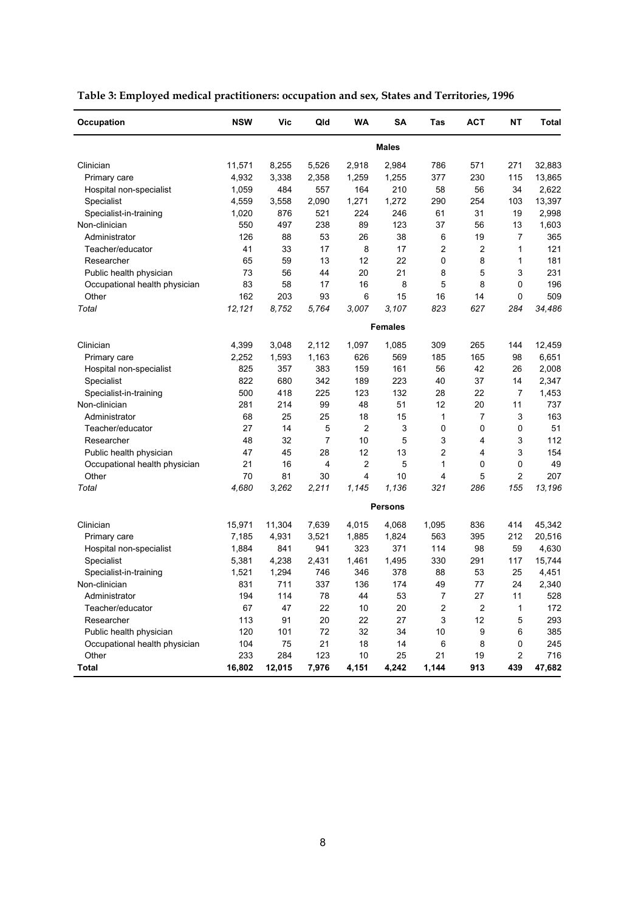| Occupation                    | <b>NSW</b> | Vic    | Qld            | WA             | SΑ             | Tas   | <b>ACT</b> | NΤ             | Total  |
|-------------------------------|------------|--------|----------------|----------------|----------------|-------|------------|----------------|--------|
|                               |            |        |                |                | <b>Males</b>   |       |            |                |        |
| Clinician                     | 11,571     | 8,255  | 5,526          | 2,918          | 2,984          | 786   | 571        | 271            | 32,883 |
| Primary care                  | 4,932      | 3,338  | 2,358          | 1,259          | 1,255          | 377   | 230        | 115            | 13,865 |
| Hospital non-specialist       | 1,059      | 484    | 557            | 164            | 210            | 58    | 56         | 34             | 2,622  |
| Specialist                    | 4,559      | 3,558  | 2,090          | 1,271          | 1,272          | 290   | 254        | 103            | 13,397 |
| Specialist-in-training        | 1,020      | 876    | 521            | 224            | 246            | 61    | 31         | 19             | 2,998  |
| Non-clinician                 | 550        | 497    | 238            | 89             | 123            | 37    | 56         | 13             | 1,603  |
| Administrator                 | 126        | 88     | 53             | 26             | 38             | 6     | 19         | 7              | 365    |
| Teacher/educator              | 41         | 33     | 17             | 8              | 17             | 2     | 2          | 1              | 121    |
| Researcher                    | 65         | 59     | 13             | 12             | 22             | 0     | 8          | 1              | 181    |
| Public health physician       | 73         | 56     | 44             | 20             | 21             | 8     | 5          | 3              | 231    |
| Occupational health physician | 83         | 58     | 17             | 16             | 8              | 5     | 8          | 0              | 196    |
| Other                         | 162        | 203    | 93             | 6              | 15             | 16    | 14         | 0              | 509    |
| Total                         | 12,121     | 8,752  | 5,764          | 3,007          | 3,107          | 823   | 627        | 284            | 34,486 |
|                               |            |        |                |                | <b>Females</b> |       |            |                |        |
| Clinician                     | 4,399      | 3,048  | 2,112          | 1,097          | 1,085          | 309   | 265        | 144            | 12,459 |
| Primary care                  | 2,252      | 1,593  | 1,163          | 626            | 569            | 185   | 165        | 98             | 6,651  |
| Hospital non-specialist       | 825        | 357    | 383            | 159            | 161            | 56    | 42         | 26             | 2,008  |
| Specialist                    | 822        | 680    | 342            | 189            | 223            | 40    | 37         | 14             | 2,347  |
| Specialist-in-training        | 500        | 418    | 225            | 123            | 132            | 28    | 22         | 7              | 1,453  |
| Non-clinician                 | 281        | 214    | 99             | 48             | 51             | 12    | 20         | 11             | 737    |
| Administrator                 | 68         | 25     | 25             | 18             | 15             | 1     | 7          | 3              | 163    |
| Teacher/educator              | 27         | 14     | 5              | 2              | 3              | 0     | 0          | 0              | 51     |
| Researcher                    | 48         | 32     | $\overline{7}$ | 10             | 5              | 3     | 4          | 3              | 112    |
| Public health physician       | 47         | 45     | 28             | 12             | 13             | 2     | 4          | 3              | 154    |
| Occupational health physician | 21         | 16     | 4              | $\overline{c}$ | 5              | 1     | 0          | 0              | 49     |
| Other                         | 70         | 81     | 30             | 4              | 10             | 4     | 5          | $\overline{2}$ | 207    |
| Total                         | 4,680      | 3,262  | 2,211          | 1,145          | 1,136          | 321   | 286        | 155            | 13,196 |
|                               |            |        |                |                | <b>Persons</b> |       |            |                |        |
| Clinician                     | 15,971     | 11,304 | 7,639          | 4,015          | 4,068          | 1,095 | 836        | 414            | 45,342 |
| Primary care                  | 7,185      | 4,931  | 3,521          | 1,885          | 1,824          | 563   | 395        | 212            | 20,516 |
| Hospital non-specialist       | 1,884      | 841    | 941            | 323            | 371            | 114   | 98         | 59             | 4,630  |
| Specialist                    | 5,381      | 4,238  | 2,431          | 1,461          | 1,495          | 330   | 291        | 117            | 15,744 |
| Specialist-in-training        | 1,521      | 1,294  | 746            | 346            | 378            | 88    | 53         | 25             | 4,451  |
| Non-clinician                 | 831        | 711    | 337            | 136            | 174            | 49    | 77         | 24             | 2,340  |
| Administrator                 | 194        | 114    | 78             | 44             | 53             | 7     | 27         | 11             | 528    |
| Teacher/educator              | 67         | 47     | 22             | 10             | 20             | 2     | 2          | 1              | 172    |
| Researcher                    | 113        | 91     | 20             | 22             | 27             | 3     | 12         | 5              | 293    |
| Public health physician       | 120        | 101    | 72             | 32             | 34             | 10    | 9          | 6              | 385    |
| Occupational health physician | 104        | 75     | 21             | 18             | 14             | 6     | 8          | 0              | 245    |
| Other                         | 233        | 284    | 123            | 10             | 25             | 21    | 19         | $\overline{c}$ | 716    |
| <b>Total</b>                  | 16,802     | 12,015 | 7,976          | 4,151          | 4,242          | 1,144 | 913        | 439            | 47,682 |

**Table 3: Employed medical practitioners: occupation and sex, States and Territories, 1996**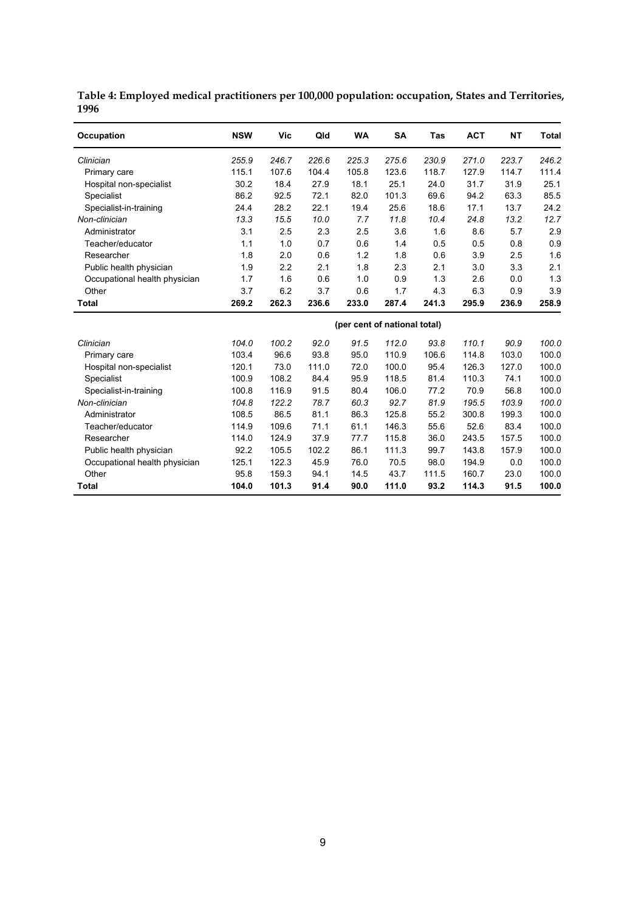| Occupation                    | <b>NSW</b> | <b>Vic</b> | Qld   | <b>WA</b>                    | <b>SA</b> | Tas   | <b>ACT</b> | <b>NT</b> | <b>Total</b> |
|-------------------------------|------------|------------|-------|------------------------------|-----------|-------|------------|-----------|--------------|
| Clinician                     | 255.9      | 246.7      | 226.6 | 225.3                        | 275.6     | 230.9 | 271.0      | 223.7     | 246.2        |
| Primary care                  | 115.1      | 107.6      | 104.4 | 105.8                        | 123.6     | 118.7 | 127.9      | 114.7     | 111.4        |
| Hospital non-specialist       | 30.2       | 18.4       | 27.9  | 18.1                         | 25.1      | 24.0  | 31.7       | 31.9      | 25.1         |
| Specialist                    | 86.2       | 92.5       | 72.1  | 82.0                         | 101.3     | 69.6  | 94.2       | 63.3      | 85.5         |
| Specialist-in-training        | 24.4       | 28.2       | 22.1  | 19.4                         | 25.6      | 18.6  | 17.1       | 13.7      | 24.2         |
| Non-clinician                 | 13.3       | 15.5       | 10.0  | 7.7                          | 11.8      | 10.4  | 24.8       | 13.2      | 12.7         |
| Administrator                 | 3.1        | 2.5        | 2.3   | 2.5                          | 3.6       | 1.6   | 8.6        | 5.7       | 2.9          |
| Teacher/educator              | 1.1        | 1.0        | 0.7   | 0.6                          | 1.4       | 0.5   | 0.5        | 0.8       | 0.9          |
| Researcher                    | 1.8        | 2.0        | 0.6   | 1.2                          | 1.8       | 0.6   | 3.9        | 2.5       | 1.6          |
| Public health physician       | 1.9        | 2.2        | 2.1   | 1.8                          | 2.3       | 2.1   | 3.0        | 3.3       | 2.1          |
| Occupational health physician | 1.7        | 1.6        | 0.6   | 1.0                          | 0.9       | 1.3   | 2.6        | 0.0       | 1.3          |
| Other                         | 3.7        | 6.2        | 3.7   | 0.6                          | 1.7       | 4.3   | 6.3        | 0.9       | 3.9          |
| <b>Total</b>                  | 269.2      | 262.3      | 236.6 | 233.0                        | 287.4     | 241.3 | 295.9      | 236.9     | 258.9        |
|                               |            |            |       | (per cent of national total) |           |       |            |           |              |
| Clinician                     | 104.0      | 100.2      | 92.0  | 91.5                         | 112.0     | 93.8  | 110.1      | 90.9      | 100.0        |
| Primary care                  | 103.4      | 96.6       | 93.8  | 95.0                         | 110.9     | 106.6 | 114.8      | 103.0     | 100.0        |
| Hospital non-specialist       | 120.1      | 73.0       | 111.0 | 72.0                         | 100.0     | 95.4  | 126.3      | 127.0     | 100.0        |
| <b>Specialist</b>             | 100.9      | 108.2      | 84.4  | 95.9                         | 118.5     | 81.4  | 110.3      | 74.1      | 100.0        |
| Specialist-in-training        | 100.8      | 116.9      | 91.5  | 80.4                         | 106.0     | 77.2  | 70.9       | 56.8      | 100.0        |
| Non-clinician                 | 104.8      | 122.2      | 78.7  | 60.3                         | 92.7      | 81.9  | 195.5      | 103.9     | 100.0        |
| Administrator                 | 108.5      | 86.5       | 81.1  | 86.3                         | 125.8     | 55.2  | 300.8      | 199.3     | 100.0        |
| Teacher/educator              | 114.9      | 109.6      | 71.1  | 61.1                         | 146.3     | 55.6  | 52.6       | 83.4      | 100.0        |
| Researcher                    | 114.0      | 124.9      | 37.9  | 77.7                         | 115.8     | 36.0  | 243.5      | 157.5     | 100.0        |
| Public health physician       | 92.2       | 105.5      | 102.2 | 86.1                         | 111.3     | 99.7  | 143.8      | 157.9     | 100.0        |
| Occupational health physician | 125.1      | 122.3      | 45.9  | 76.0                         | 70.5      | 98.0  | 194.9      | 0.0       | 100.0        |
| Other                         | 95.8       | 159.3      | 94.1  | 14.5                         | 43.7      | 111.5 | 160.7      | 23.0      | 100.0        |
| Total                         | 104.0      | 101.3      | 91.4  | 90.0                         | 111.0     | 93.2  | 114.3      | 91.5      | 100.0        |

**Table 4: Employed medical practitioners per 100,000 population: occupation, States and Territories, 1996**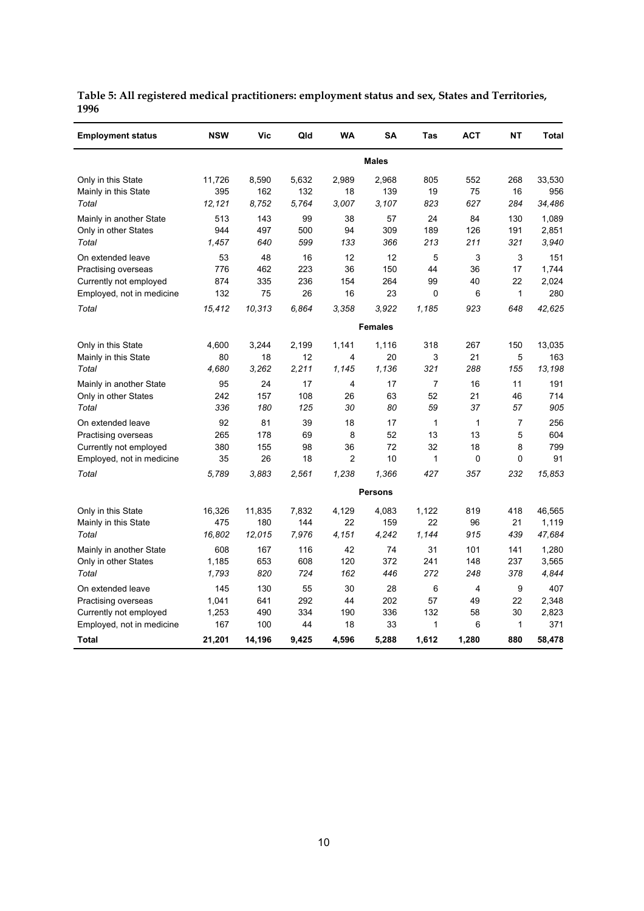| <b>Employment status</b>  | <b>NSW</b> | Vic    | Qld   | <b>WA</b>      | <b>SA</b>      | Tas          | <b>ACT</b>  | <b>NT</b>      | <b>Total</b> |
|---------------------------|------------|--------|-------|----------------|----------------|--------------|-------------|----------------|--------------|
|                           |            |        |       |                | <b>Males</b>   |              |             |                |              |
| Only in this State        | 11,726     | 8,590  | 5,632 | 2,989          | 2,968          | 805          | 552         | 268            | 33,530       |
| Mainly in this State      | 395        | 162    | 132   | 18             | 139            | 19           | 75          | 16             | 956          |
| Total                     | 12,121     | 8.752  | 5,764 | 3,007          | 3.107          | 823          | 627         | 284            | 34,486       |
| Mainly in another State   | 513        | 143    | 99    | 38             | 57             | 24           | 84          | 130            | 1,089        |
| Only in other States      | 944        | 497    | 500   | 94             | 309            | 189          | 126         | 191            | 2,851        |
| Total                     | 1,457      | 640    | 599   | 133            | 366            | 213          | 211         | 321            | 3,940        |
| On extended leave         | 53         | 48     | 16    | 12             | 12             | 5            | 3           | 3              | 151          |
| Practising overseas       | 776        | 462    | 223   | 36             | 150            | 44           | 36          | 17             | 1,744        |
| Currently not employed    | 874        | 335    | 236   | 154            | 264            | 99           | 40          | 22             | 2,024        |
| Employed, not in medicine | 132        | 75     | 26    | 16             | 23             | 0            | 6           | 1              | 280          |
| Total                     | 15,412     | 10,313 | 6.864 | 3.358          | 3.922          | 1,185        | 923         | 648            | 42,625       |
|                           |            |        |       |                | <b>Females</b> |              |             |                |              |
| Only in this State        | 4,600      | 3,244  | 2,199 | 1,141          | 1,116          | 318          | 267         | 150            | 13,035       |
| Mainly in this State      | 80         | 18     | 12    | 4              | 20             | 3            | 21          | 5              | 163          |
| Total                     | 4,680      | 3,262  | 2,211 | 1,145          | 1,136          | 321          | 288         | 155            | 13,198       |
| Mainly in another State   | 95         | 24     | 17    | 4              | 17             | 7            | 16          | 11             | 191          |
| Only in other States      | 242        | 157    | 108   | 26             | 63             | 52           | 21          | 46             | 714          |
| Total                     | 336        | 180    | 125   | 30             | 80             | 59           | 37          | 57             | 905          |
| On extended leave         | 92         | 81     | 39    | 18             | 17             | $\mathbf{1}$ | 1           | $\overline{7}$ | 256          |
| Practising overseas       | 265        | 178    | 69    | 8              | 52             | 13           | 13          | 5              | 604          |
| Currently not employed    | 380        | 155    | 98    | 36             | 72             | 32           | 18          | 8              | 799          |
| Employed, not in medicine | 35         | 26     | 18    | $\overline{2}$ | 10             | 1            | $\mathbf 0$ | $\mathbf 0$    | 91           |
| Total                     | 5,789      | 3,883  | 2,561 | 1,238          | 1,366          | 427          | 357         | 232            | 15,853       |
|                           |            |        |       |                | <b>Persons</b> |              |             |                |              |
| Only in this State        | 16,326     | 11,835 | 7,832 | 4,129          | 4,083          | 1,122        | 819         | 418            | 46,565       |
| Mainly in this State      | 475        | 180    | 144   | 22             | 159            | 22           | 96          | 21             | 1,119        |
| Total                     | 16,802     | 12,015 | 7,976 | 4,151          | 4,242          | 1,144        | 915         | 439            | 47,684       |
| Mainly in another State   | 608        | 167    | 116   | 42             | 74             | 31           | 101         | 141            | 1,280        |
| Only in other States      | 1,185      | 653    | 608   | 120            | 372            | 241          | 148         | 237            | 3,565        |
| Total                     | 1,793      | 820    | 724   | 162            | 446            | 272          | 248         | 378            | 4,844        |
| On extended leave         | 145        | 130    | 55    | 30             | 28             | 6            | 4           | 9              | 407          |
| Practising overseas       | 1,041      | 641    | 292   | 44             | 202            | 57           | 49          | 22             | 2,348        |
| Currently not employed    | 1,253      | 490    | 334   | 190            | 336            | 132          | 58          | 30             | 2,823        |
| Employed, not in medicine | 167        | 100    | 44    | 18             | 33             | 1            | 6           | 1              | 371          |
| Total                     | 21,201     | 14,196 | 9,425 | 4,596          | 5,288          | 1,612        | 1,280       | 880            | 58,478       |

**Table 5: All registered medical practitioners: employment status and sex, States and Territories, 1996**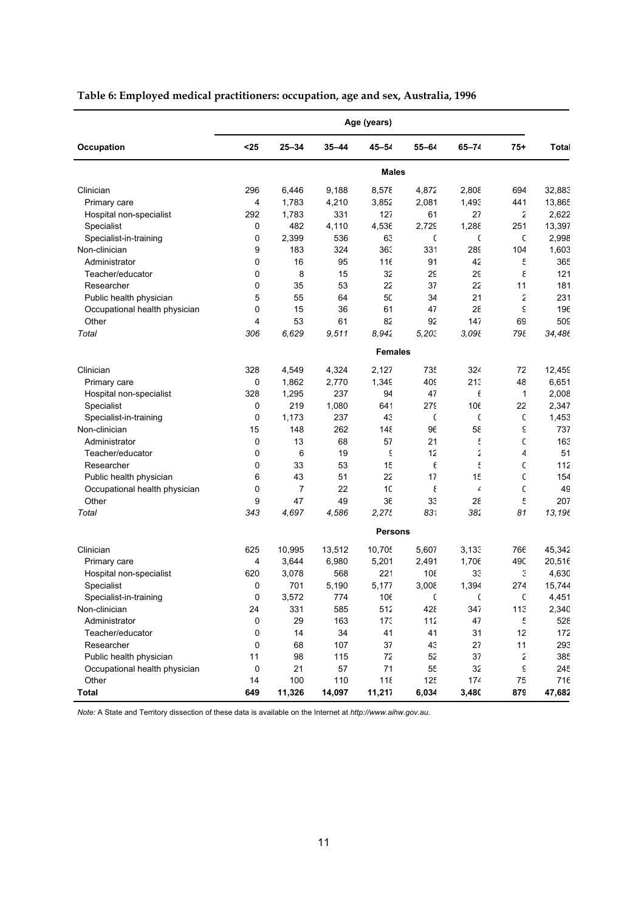|                               |             |           |           | Age (years)    |            |            |              |         |
|-------------------------------|-------------|-----------|-----------|----------------|------------|------------|--------------|---------|
| Occupation                    | $25$        | $25 - 34$ | $35 - 44$ | $45 - 54$      | $55 - 64$  | $65 - 74$  | $75 +$       | Total   |
|                               |             |           |           | <b>Males</b>   |            |            |              |         |
| Clinician                     | 296         | 6,446     | 9,188     | 8,578          | 4,872      | 2,808      | 694          | 32,883  |
| Primary care                  | 4           | 1,783     | 4,210     | 3,852          | 2,081      | 1,493      | 441          | 13,865  |
| Hospital non-specialist       | 292         | 1,783     | 331       | 127            | 61         | 27         | 2            | 2,622   |
| Specialist                    | 0           | 482       | 4,110     | 4,536          | 2,729      | 1,288      | 251          | 13,397  |
| Specialist-in-training        | 0           | 2,399     | 536       | 63             | C          | C          | C            | 2,998   |
| Non-clinician                 | 9           | 183       | 324       | 363            | 331        | <b>289</b> | 104          | 1,603   |
| Administrator                 | 0           | 16        | 95        | 116            | 91         | 42         | ť            | 365     |
| Teacher/educator              | $\mathbf 0$ | 8         | 15        | 32             | 2g         | 29         | ε            | 121     |
| Researcher                    | $\mathbf 0$ | 35        | 53        | 22             | 37         | 22         | 11           | 181     |
| Public health physician       | 5           | 55        | 64        | 50             | 34         | 21         | 2            | 231     |
| Occupational health physician | $\mathbf 0$ | 15        | 36        | 61             | 47         | 28         | έ            | 196     |
| Other                         | 4           | 53        | 61        | 82             | 92         | 147        | 69           | 509     |
| Total                         | 306         | 6,629     | 9,511     | 8.942          | 5,203      | 3,098      | 798          | 34,486  |
|                               |             |           |           | <b>Females</b> |            |            |              |         |
| Clinician                     | 328         | 4,549     | 4,324     | 2,127          | <b>735</b> | 324        | 72           | 12,459  |
| Primary care                  | 0           | 1,862     | 2,770     | 1,349          | 409        | 213        | 48           | 6,651   |
| Hospital non-specialist       | 328         | 1,295     | 237       | 94             | 47         | $\epsilon$ | $\mathbf{1}$ | 2,008   |
| Specialist                    | 0           | 219       | 1,080     | 641            | <b>279</b> | 106        | 22           | 2,347   |
| Specialist-in-training        | $\mathbf 0$ | 1,173     | 237       | 43             | C          | C          | $\mathsf{C}$ | 1,453   |
| Non-clinician                 | 15          | 148       | 262       | 148            | 96         | 58         | ξ            | 737     |
| Administrator                 | 0           | 13        | 68        | 57             | 21         | £          | C            | 163     |
| Teacher/educator              | 0           | 6         | 19        | ξ              | 12         | 2          | 4            | 51      |
| Researcher                    | $\mathbf 0$ | 33        | 53        | 15             | $\epsilon$ | £          | C            | 112     |
| Public health physician       | 6           | 43        | 51        | 22             | 17         | 15         | C            | 154     |
| Occupational health physician | 0           | 7         | 22        | 10             | ξ          | 4          | C            | 49      |
| Other                         | 9           | 47        | 49        | 36             | 33         | 28         | £            | 207     |
| Total                         | 343         | 4,697     | 4,586     | 2,275          | 831        | 382        | 81           | 13,196  |
|                               |             |           |           | <b>Persons</b> |            |            |              |         |
| Clinician                     | 625         | 10,995    | 13,512    | 10,705         | 5,607      | 3,133      | 766          | 45,342  |
| Primary care                  | 4           | 3,644     | 6,980     | 5,201          | 2,491      | 1,706      | 490          | 20,516  |
| Hospital non-specialist       | 620         | 3,078     | 568       | 221            | 108        | 33         | Э            | 4,630   |
| Specialist                    | $\mathbf 0$ | 701       | 5,190     | 5,177          | 3,008      | 1,394      | 274          | 15,744  |
| Specialist-in-training        | 0           | 3,572     | 774       | 106            | C          | C          | C            | 4,451   |
| Non-clinician                 | 24          | 331       | 585       | 512            | 428        | 347        | 113          | 2,340   |
| Administrator                 | 0           | 29        | 163       | 173            | 112        | 47         | ٤            | $52\xi$ |
| Teacher/educator              | 0           | 14        | 34        | 41             | 41         | 31         | 12           | 172     |
| Researcher                    | 0           | 68        | 107       | 37             | 43         | 27         | 11           | 293     |
| Public health physician       | 11          | 98        | 115       | 72             | 52         | 37         | ź            | 38t     |
| Occupational health physician | 0           | 21        | 57        | 71             | 55         | 32         | ٤            | 245     |
| Other                         | 14          | 100       | 110       | 118            | 125        | 174        | 75           | 716     |
| <b>Total</b>                  | 649         | 11,326    | 14,097    | 11,217         | 6,034      | 3,480      | 879          | 47,682  |

# **Table 6: Employed medical practitioners: occupation, age and sex, Australia, 1996**

*Note:* A State and Territory dissection of these data is available on the Internet at *http://www.aihw.gov.au.*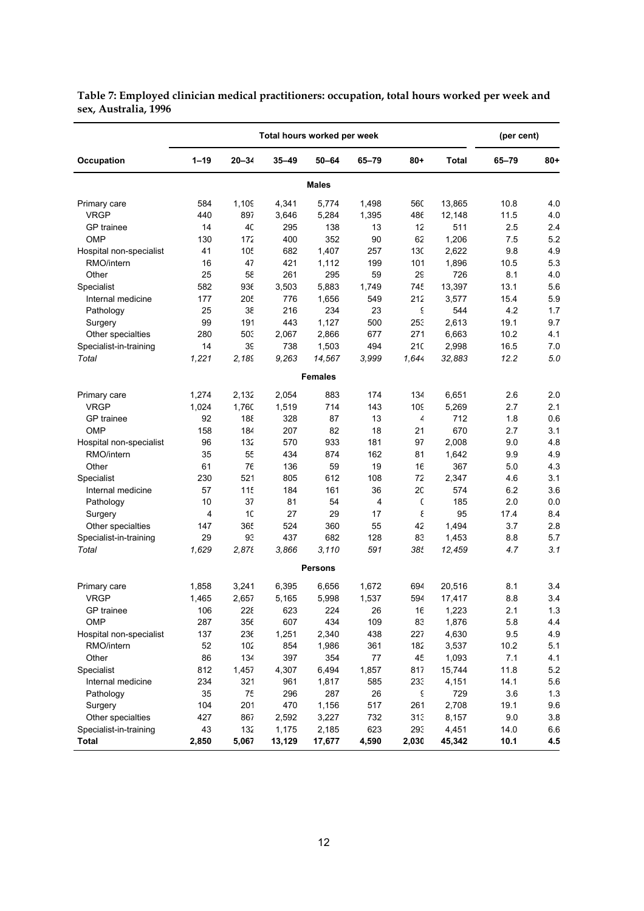|                         |          |            |           | Total hours worked per week |           |           |              | (per cent) |       |
|-------------------------|----------|------------|-----------|-----------------------------|-----------|-----------|--------------|------------|-------|
| Occupation              | $1 - 19$ | $20 - 34$  | $35 - 49$ | $50 - 64$                   | $65 - 79$ | 80+       | <b>Total</b> | 65-79      | $80+$ |
|                         |          |            |           | <b>Males</b>                |           |           |              |            |       |
| Primary care            | 584      | 1,109      | 4,341     | 5,774                       | 1,498     | 560       | 13,865       | 10.8       | 4.0   |
| <b>VRGP</b>             | 440      | 897        | 3,646     | 5,284                       | 1,395     | 486       | 12,148       | 11.5       | 4.0   |
| GP trainee              | 14       | 40         | 295       | 138                         | 13        | 12        | 511          | 2.5        | 2.4   |
| <b>OMP</b>              | 130      | 172        | 400       | 352                         | 90        | 62        | 1,206        | 7.5        | 5.2   |
| Hospital non-specialist | 41       | 105        | 682       | 1,407                       | 257       | 130       | 2,622        | 9.8        | 4.9   |
| RMO/intern              | 16       | 47         | 421       | 1,112                       | 199       | 101       | 1,896        | 10.5       | 5.3   |
| Other                   | 25       | 58         | 261       | 295                         | 59        | <b>29</b> | 726          | 8.1        | 4.0   |
| Specialist              | 582      | 936        | 3,503     | 5,883                       | 1,749     | 745       | 13,397       | 13.1       | 5.6   |
| Internal medicine       | 177      | <b>205</b> | 776       | 1,656                       | 549       | 212       | 3,577        | 15.4       | 5.9   |
| Pathology               | 25       | 38         | 216       | 234                         | 23        | ξ         | 544          | 4.2        | 1.7   |
| Surgery                 | 99       | 191        | 443       | 1,127                       | 500       | 253       | 2,613        | 19.1       | 9.7   |
| Other specialties       | 280      | 503        | 2,067     | 2,866                       | 677       | 271       | 6,663        | 10.2       | 4.1   |
| Specialist-in-training  | 14       | 39         | 738       | 1,503                       | 494       | 21C       | 2,998        | 16.5       | 7.0   |
| Total                   | 1,221    | 2,189      | 9,263     | 14,567                      | 3,999     | 1,644     | 32,883       | 12.2       | 5.0   |
|                         |          |            |           | <b>Females</b>              |           |           |              |            |       |
| Primary care            | 1,274    | 2,132      | 2,054     | 883                         | 174       | 134       | 6,651        | 2.6        | 2.0   |
| <b>VRGP</b>             | 1,024    | 1,760      | 1,519     | 714                         | 143       | 109       | 5,269        | 2.7        | 2.1   |
| <b>GP</b> trainee       | 92       | 188        | 328       | 87                          | 13        | 4         | 712          | 1.8        | 0.6   |
| <b>OMP</b>              | 158      | 184        | 207       | 82                          | 18        | 21        | 670          | 2.7        | 3.1   |
| Hospital non-specialist | 96       | 132        | 570       | 933                         | 181       | 97        | 2,008        | 9.0        | 4.8   |
| RMO/intern              | 35       | 55         | 434       | 874                         | 162       | 81        | 1,642        | 9.9        | 4.9   |
| Other                   | 61       | 76         | 136       | 59                          | 19        | 16        | 367          | 5.0        | 4.3   |
| Specialist              | 230      | 521        | 805       | 612                         | 108       | 72        | 2,347        | 4.6        | 3.1   |
| Internal medicine       | 57       | 115        | 184       | 161                         | 36        | 2C        | 574          | 6.2        | 3.6   |
| Pathology               | 10       | 37         | 81        | 54                          | 4         | C         | 185          | 2.0        | 0.0   |
| Surgery                 | 4        | 10         | 27        | 29                          | 17        | ε         | 95           | 17.4       | 8.4   |
| Other specialties       | 147      | 365        | 524       | 360                         | 55        | 42        | 1,494        | 3.7        | 2.8   |
| Specialist-in-training  | 29       | 93         | 437       | 682                         | 128       | 83        | 1,453        | 8.8        | 5.7   |
| Total                   | 1,629    | 2,878      | 3.866     | 3.110                       | 591       | 38t       | 12,459       | 4.7        | 3.1   |
|                         |          |            |           | <b>Persons</b>              |           |           |              |            |       |
| Primary care            | 1,858    | 3,241      | 6,395     | 6,656                       | 1,672     | 694       | 20,516       | 8.1        | 3.4   |
| <b>VRGP</b>             | 1,465    | 2.657      | 5,165     | 5,998                       | 1,537     | 594       | 17,417       | 8.8        | 3.4   |
| GP trainee              | 106      | 228        | 623       | 224                         | 26        | 16        | 1,223        | 2.1        | 1.3   |
| OMP                     | 287      | 356        | 607       | 434                         | 109       | 83        | 1,876        | 5.8        | 4.4   |
| Hospital non-specialist | 137      | 236        | 1,251     | 2,340                       | 438       | 227       | 4,630        | 9.5        | 4.9   |
| RMO/intern              | 52       | 102        | 854       | 1,986                       | 361       | 182       | 3,537        | 10.2       | 5.1   |
| Other                   | 86       | 134        | 397       | 354                         | 77        | 45        | 1,093        | 7.1        | 4.1   |
| Specialist              | 812      | 1,457      | 4,307     | 6,494                       | 1,857     | 817       | 15,744       | 11.8       | 5.2   |
| Internal medicine       | 234      | 321        | 961       | 1,817                       | 585       | 233       | 4,151        | 14.1       | 5.6   |
| Pathology               | 35       | 75         | 296       | 287                         | 26        | ξ         | 729          | 3.6        | 1.3   |
| Surgery                 | 104      | 201        | 470       | 1,156                       | 517       | 261       | 2,708        | 19.1       | 9.6   |
| Other specialties       | 427      | 867        | 2,592     | 3,227                       | 732       | 313       | 8,157        | 9.0        | 3.8   |
| Specialist-in-training  | 43       | 132        | 1,175     | 2,185                       | 623       | 293       | 4,451        | 14.0       | 6.6   |
| <b>Total</b>            | 2,850    | 5,067      | 13,129    | 17,677                      | 4,590     | 2,030     | 45,342       | 10.1       | 4.5   |

**Table 7: Employed clinician medical practitioners: occupation, total hours worked per week and sex, Australia, 1996**